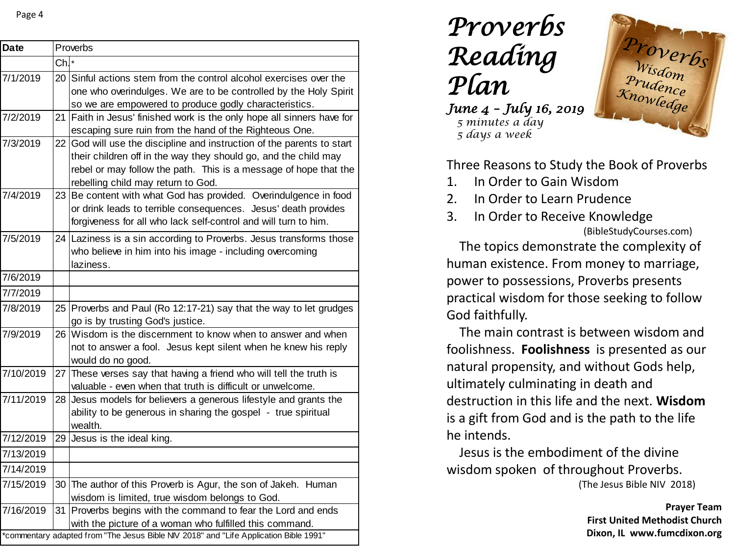| <b>Date</b>                                                                           |                | Proverbs                                                                                                                          |  |  |
|---------------------------------------------------------------------------------------|----------------|-----------------------------------------------------------------------------------------------------------------------------------|--|--|
|                                                                                       | $Ch^{\dagger}$ |                                                                                                                                   |  |  |
| 7/1/2019                                                                              |                | 20 Sinful actions stem from the control alcohol exercises over the                                                                |  |  |
|                                                                                       |                | one who overindulges. We are to be controlled by the Holy Spirit                                                                  |  |  |
|                                                                                       |                | so we are empowered to produce godly characteristics.                                                                             |  |  |
| 7/2/2019                                                                              | 21             | Faith in Jesus' finished work is the only hope all sinners have for                                                               |  |  |
|                                                                                       |                | escaping sure ruin from the hand of the Righteous One.                                                                            |  |  |
| 7/3/2019                                                                              | 22             | God will use the discipline and instruction of the parents to start                                                               |  |  |
|                                                                                       |                | their children off in the way they should go, and the child may                                                                   |  |  |
|                                                                                       |                | rebel or may follow the path. This is a message of hope that the                                                                  |  |  |
|                                                                                       |                | rebelling child may return to God.                                                                                                |  |  |
| 7/4/2019                                                                              |                | 23 Be content with what God has provided. Overindulgence in food                                                                  |  |  |
|                                                                                       |                | or drink leads to terrible consequences. Jesus' death provides                                                                    |  |  |
|                                                                                       |                | forgiveness for all who lack self-control and will turn to him.                                                                   |  |  |
| 7/5/2019                                                                              |                | 24 Laziness is a sin according to Proverbs. Jesus transforms those                                                                |  |  |
|                                                                                       |                | who believe in him into his image - including overcoming                                                                          |  |  |
|                                                                                       |                | laziness.                                                                                                                         |  |  |
| 7/6/2019                                                                              |                |                                                                                                                                   |  |  |
| 7/7/2019                                                                              |                |                                                                                                                                   |  |  |
| 7/8/2019                                                                              |                | 25 Proverbs and Paul (Ro 12:17-21) say that the way to let grudges                                                                |  |  |
|                                                                                       |                | go is by trusting God's justice.                                                                                                  |  |  |
| 7/9/2019                                                                              | 26             | Wisdom is the discernment to know when to answer and when                                                                         |  |  |
|                                                                                       |                | not to answer a fool. Jesus kept silent when he knew his reply                                                                    |  |  |
| 7/10/2019                                                                             |                | would do no good.                                                                                                                 |  |  |
|                                                                                       |                | 27 These verses say that having a friend who will tell the truth is<br>valuable - even when that truth is difficult or unwelcome. |  |  |
| 7/11/2019                                                                             |                | 28 Jesus models for believers a generous lifestyle and grants the                                                                 |  |  |
|                                                                                       |                | ability to be generous in sharing the gospel - true spiritual                                                                     |  |  |
|                                                                                       |                | wealth.                                                                                                                           |  |  |
| 7/12/2019                                                                             |                | 29 Jesus is the ideal king.                                                                                                       |  |  |
| 7/13/2019                                                                             |                |                                                                                                                                   |  |  |
| 7/14/2019                                                                             |                |                                                                                                                                   |  |  |
| 7/15/2019                                                                             |                | 30 The author of this Proverb is Agur, the son of Jakeh. Human                                                                    |  |  |
|                                                                                       |                | wisdom is limited, true wisdom belongs to God.                                                                                    |  |  |
| 7/16/2019                                                                             |                | 31 Proverbs begins with the command to fear the Lord and ends                                                                     |  |  |
|                                                                                       |                | with the picture of a woman who fulfilled this command.                                                                           |  |  |
| *commentary adapted from "The Jesus Bible NIV 2018" and "Life Application Bible 1991" |                |                                                                                                                                   |  |  |

*Proverbs Reading Plan*

*June 4 – July 16, 2019 5 minutes a day 5 days a week*



Three Reasons to Study the Book of Proverbs

- 1. In Order to Gain Wisdom
- 2. In Order to Learn Prudence
- 3. In Order to Receive Knowledge (BibleStudyCourses.com)

The topics demonstrate the complexity of human existence. From money to marriage, power to possessions, Proverbs presents practical wisdom for those seeking to follow God faithfully.

The main contrast is between wisdom and foolishness. **Foolishness** is presented as our natural propensity, and without Gods help, ultimately culminating in death and destruction in this life and the next. **Wisdom**  is a gift from God and is the path to the life he intends.

Jesus is the embodiment of the divine wisdom spoken of throughout Proverbs.

(The Jesus Bible NIV 2018)

**Prayer Team First United Methodist Church Dixon, IL www.fumcdixon.org**